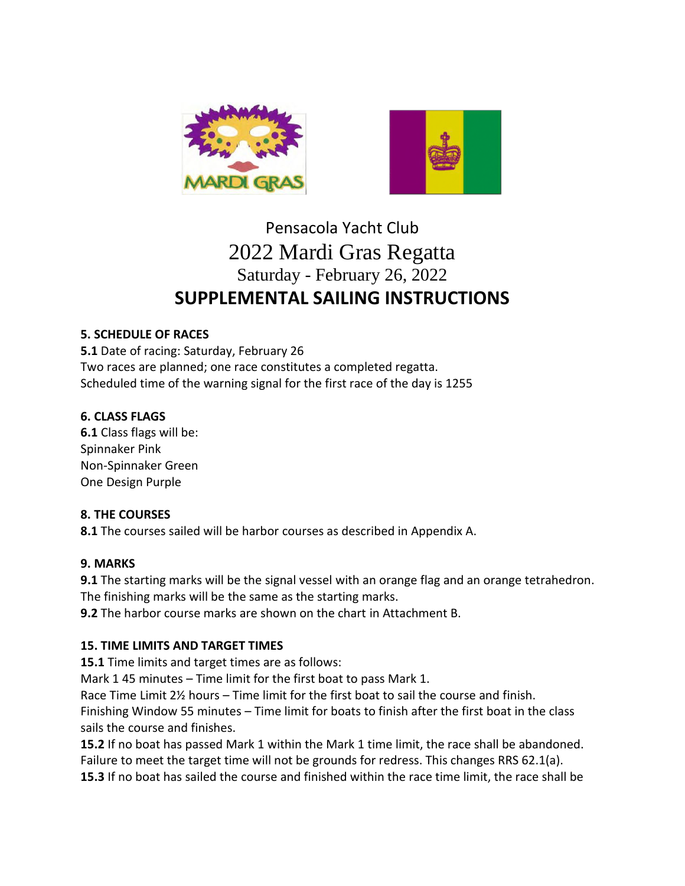



# Pensacola Yacht Club 2022 Mardi Gras Regatta Saturday - February 26, 2022 **SUPPLEMENTAL SAILING INSTRUCTIONS**

#### **5. SCHEDULE OF RACES**

**5.1** Date of racing: Saturday, February 26 Two races are planned; one race constitutes a completed regatta. Scheduled time of the warning signal for the first race of the day is 1255

#### **6. CLASS FLAGS**

**6.1** Class flags will be: Spinnaker Pink Non-Spinnaker Green One Design Purple

#### **8. THE COURSES**

**8.1** The courses sailed will be harbor courses as described in Appendix A.

#### **9. MARKS**

**9.1** The starting marks will be the signal vessel with an orange flag and an orange tetrahedron. The finishing marks will be the same as the starting marks.

**9.2** The harbor course marks are shown on the chart in Attachment B.

### **15. TIME LIMITS AND TARGET TIMES**

**15.1** Time limits and target times are as follows:

Mark 1 45 minutes – Time limit for the first boat to pass Mark 1.

Race Time Limit 2½ hours – Time limit for the first boat to sail the course and finish.

Finishing Window 55 minutes – Time limit for boats to finish after the first boat in the class sails the course and finishes.

**15.2** If no boat has passed Mark 1 within the Mark 1 time limit, the race shall be abandoned. Failure to meet the target time will not be grounds for redress. This changes RRS 62.1(a). **15.3** If no boat has sailed the course and finished within the race time limit, the race shall be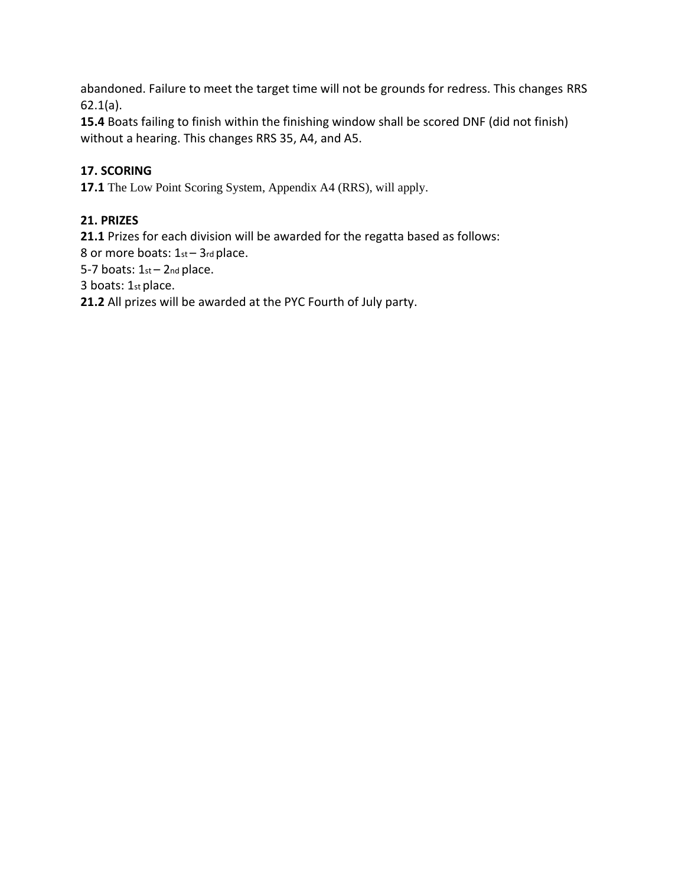abandoned. Failure to meet the target time will not be grounds for redress. This changes RRS 62.1(a).

**15.4** Boats failing to finish within the finishing window shall be scored DNF (did not finish) without a hearing. This changes RRS 35, A4, and A5.

## **17. SCORING**

**17.1** The Low Point Scoring System, Appendix A4 (RRS), will apply.

## **21. PRIZES**

**21.1** Prizes for each division will be awarded for the regatta based as follows:

8 or more boats: 1st - 3rd place.

5-7 boats:  $1st - 2nd$  place.

3 boats: 1st place.

**21.2** All prizes will be awarded at the PYC Fourth of July party.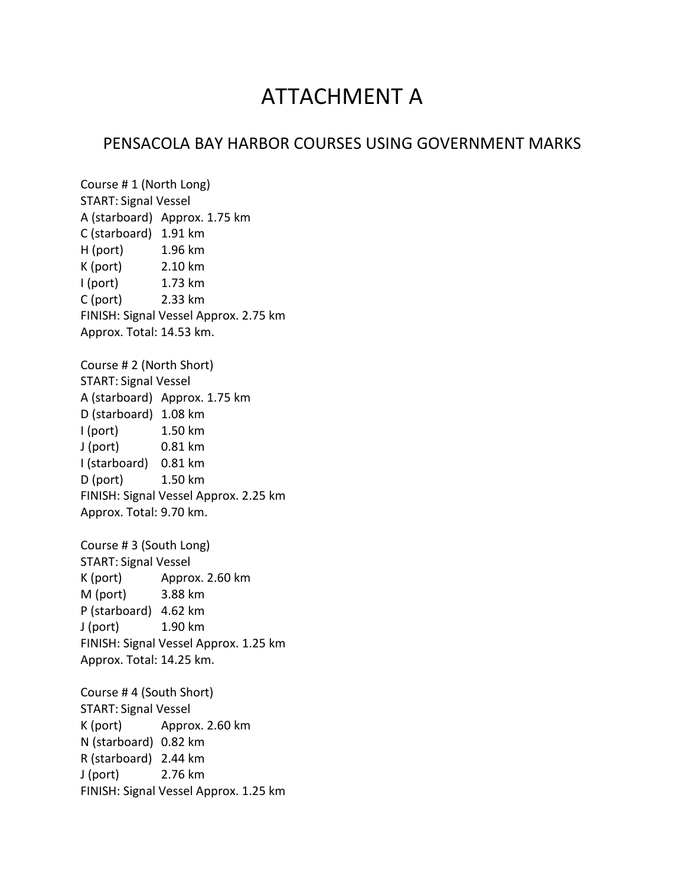# ATTACHMENT A

# PENSACOLA BAY HARBOR COURSES USING GOVERNMENT MARKS

Course # 1 (North Long) START: Signal Vessel A (starboard) Approx. 1.75 km C (starboard) 1.91 km H (port) 1.96 km K (port) 2.10 km I (port) 1.73 km C (port) 2.33 km FINISH: Signal Vessel Approx. 2.75 km Approx. Total: 14.53 km. Course # 2 (North Short) START: Signal Vessel A (starboard) Approx. 1.75 km D (starboard) 1.08 km I (port) 1.50 km J (port) 0.81 km I (starboard) 0.81 km D (port) 1.50 km FINISH: Signal Vessel Approx. 2.25 km Approx. Total: 9.70 km. Course # 3 (South Long) START: Signal Vessel K (port) Approx. 2.60 km M (port) 3.88 km P (starboard) 4.62 km J (port) 1.90 km FINISH: Signal Vessel Approx. 1.25 km Approx. Total: 14.25 km. Course # 4 (South Short) START: Signal Vessel K (port) Approx. 2.60 km N (starboard) 0.82 km R (starboard) 2.44 km J (port) 2.76 km FINISH: Signal Vessel Approx. 1.25 km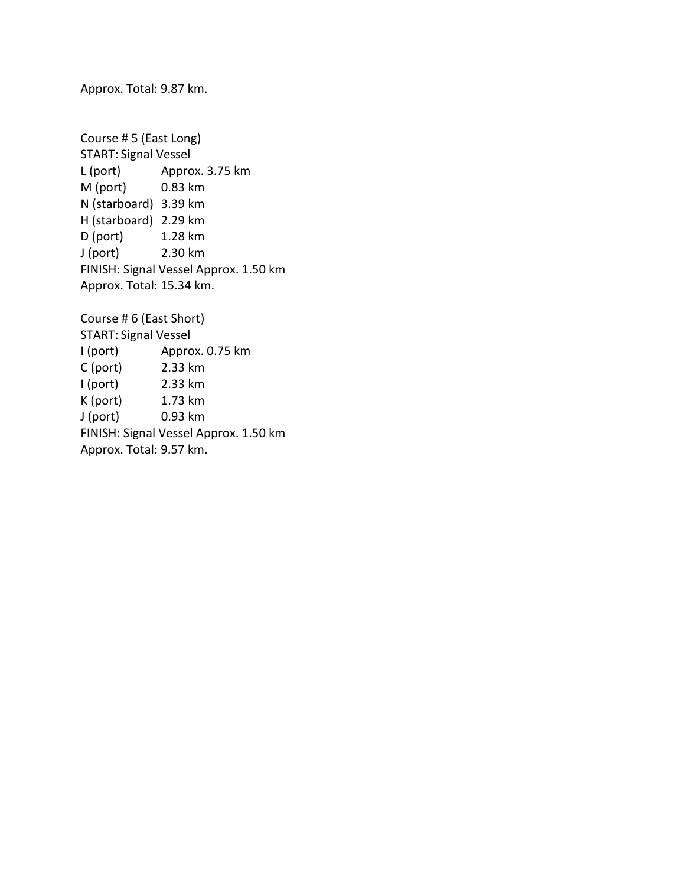Approx. Total: 9.87 km.

Course # 5 (East Long) START: Signal Vessel L (port) Approx. 3.75 km M (port) 0.83 km N (starboard) 3.39 km H (starboard) 2.29 km D (port) 1.28 km J (port) 2.30 km FINISH: Signal Vessel Approx. 1.50 km Approx. Total: 15.34 km.

Course # 6 (East Short) START: Signal Vessel I (port) Approx. 0.75 km C (port) 2.33 km I (port) 2.33 km K (port) 1.73 km J (port) 0.93 km FINISH: Signal Vessel Approx. 1.50 km Approx. Total: 9.57 km.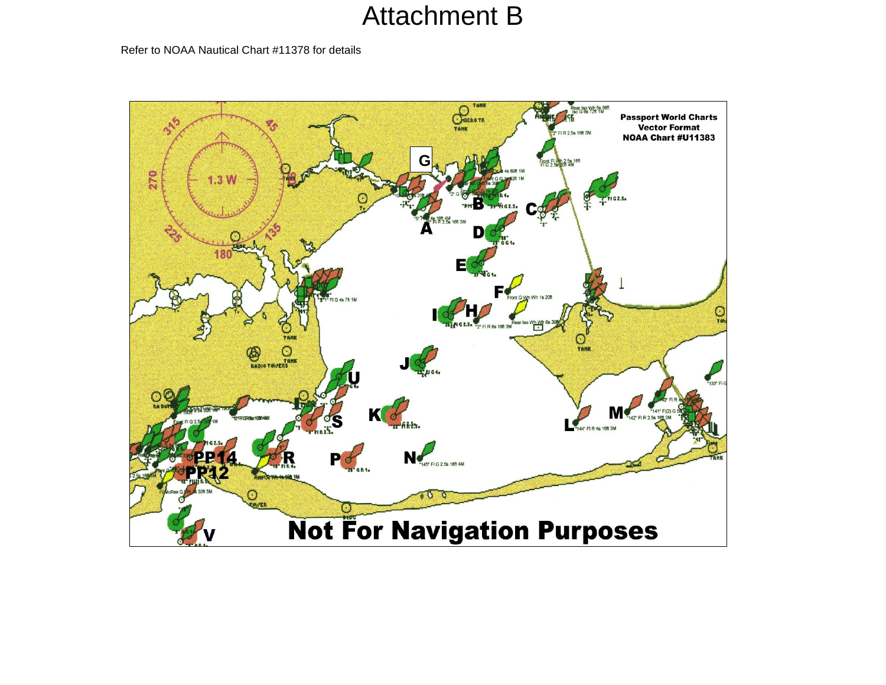# Attachment B

Refer to NOAA Nautical Chart #11378 for details